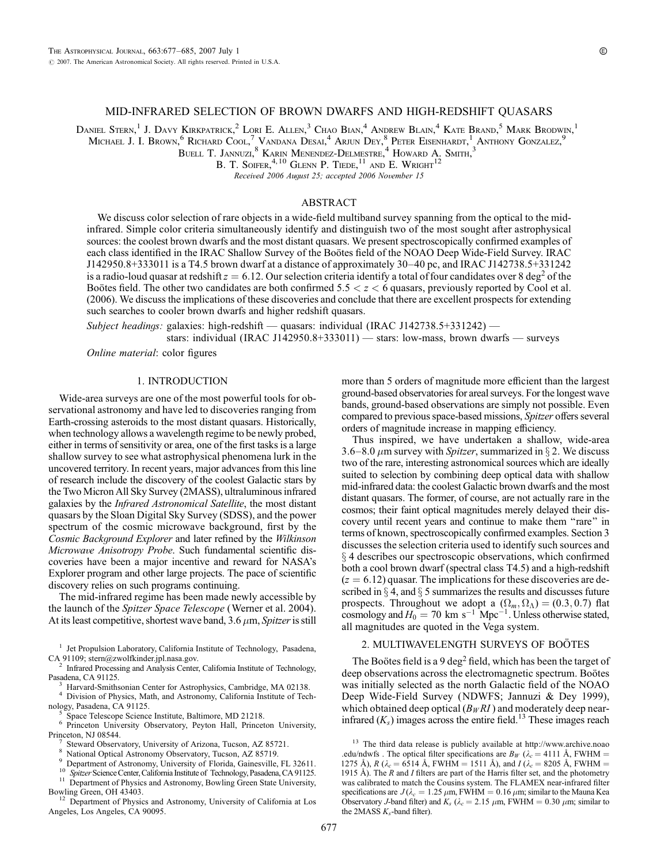# MID-INFRARED SELECTION OF BROWN DWARFS AND HIGH-REDSHIFT QUASARS

Daniel Stern,<sup>1</sup> J. Davy Kirkpatrick,<sup>2</sup> Lori E. Allen,<sup>3</sup> Chao Bian,<sup>4</sup> Andrew Blain,<sup>4</sup> Kate Brand,<sup>5</sup> Mark Brodwin,<sup>1</sup> Michael J. I. Brown,<sup>6</sup> Richard Cool,<sup>7</sup> Vandana Desal<sup>4</sup> Arjun Dey,<sup>8</sup> Peter Eisenhardt,<sup>1</sup> Anthony Gonzalez,<sup>9</sup>

 $\rm B$ uell T. Jannuzi, $\rm ^8$  Karin Menendez-Delmestre, $\rm ^4$  Howard A. Smith,  $\rm ^3$ 

B. T. SOIFER.<sup>4, 10</sup> GLENN P. TIEDE.<sup>11</sup> AND E. WRIGHT<sup>12</sup>

Received 2006 August 25; accepted 2006 November 15

#### ABSTRACT

We discuss color selection of rare objects in a wide-field multiband survey spanning from the optical to the midinfrared. Simple color criteria simultaneously identify and distinguish two of the most sought after astrophysical sources: the coolest brown dwarfs and the most distant quasars. We present spectroscopically confirmed examples of each class identified in the IRAC Shallow Survey of the Boötes field of the NOAO Deep Wide-Field Survey. IRAC J142950.8+333011 is a T4.5 brown dwarf at a distance of approximately  $30-40$  pc, and IRAC J142738.5+331242 is a radio-loud quasar at redshift  $z = 6.12$ . Our selection criteria identify a total of four candidates over 8 deg<sup>2</sup> of the Bootes field. The other two candidates are both confirmed  $5.5 < z < 6$  quasars, previously reported by Cool et al. (2006). We discuss the implications of these discoveries and conclude that there are excellent prospects for extending such searches to cooler brown dwarfs and higher redshift quasars.

Subject headings: galaxies: high-redshift — quasars: individual (IRAC J142738.5+331242) stars: individual (IRAC J142950.8+333011) — stars: low-mass, brown dwarfs — surveys

Online material: color figures

### 1. INTRODUCTION

Wide-area surveys are one of the most powerful tools for observational astronomy and have led to discoveries ranging from Earth-crossing asteroids to the most distant quasars. Historically, when technology allows a wavelength regime to be newly probed, either in terms of sensitivity or area, one of the first tasks is a large shallow survey to see what astrophysical phenomena lurk in the uncovered territory. In recent years, major advances from this line of research include the discovery of the coolest Galactic stars by the Two Micron All Sky Survey (2MASS), ultraluminous infrared galaxies by the Infrared Astronomical Satellite, the most distant quasars by the Sloan Digital Sky Survey (SDSS), and the power spectrum of the cosmic microwave background, first by the Cosmic Background Explorer and later refined by the Wilkinson Microwave Anisotropy Probe. Such fundamental scientific discoveries have been a major incentive and reward for NASA's Explorer program and other large projects. The pace of scientific discovery relies on such programs continuing.

The mid-infrared regime has been made newly accessible by the launch of the Spitzer Space Telescope (Werner et al. 2004). At its least competitive, shortest wave band,  $3.6 \mu m$ , *Spitzer* is still

 $\delta$  Space Telescope Science Institute, Baltimore, MD 21218. 6 Princeton University, Observatory, Peyton Hall, Princeton University,

Bowling Green, OH 43403.<br><sup>12</sup> Department of Physics and Astronomy, University of California at Los Angeles, Los Angeles, CA 90095.

more than 5 orders of magnitude more efficient than the largest ground-based observatories for areal surveys. For the longest wave bands, ground-based observations are simply not possible. Even compared to previous space-based missions, Spitzer offers several orders of magnitude increase in mapping efficiency.

Thus inspired, we have undertaken a shallow, wide-area 3.6–8.0  $\mu$ m survey with Spitzer, summarized in § 2. We discuss two of the rare, interesting astronomical sources which are ideally suited to selection by combining deep optical data with shallow mid-infrared data: the coolest Galactic brown dwarfs and the most distant quasars. The former, of course, are not actually rare in the cosmos; their faint optical magnitudes merely delayed their discovery until recent years and continue to make them ''rare'' in terms of known, spectroscopically confirmed examples. Section 3 discusses the selection criteria used to identify such sources and  $\S 4$  describes our spectroscopic observations, which confirmed both a cool brown dwarf (spectral class T4.5) and a high-redshift  $(z = 6.12)$  quasar. The implications for these discoveries are described in  $\S 4$ , and  $\S 5$  summarizes the results and discusses future prospects. Throughout we adopt a  $(\Omega_m, \Omega_\Lambda) = (0.3, 0.7)$  flat cosmology and  $H_0 = 70 \text{ km s}^{-1} \text{ Mpc}^{-1}$ . Unless otherwise stated, all magnitudes are quoted in the Vega system.

#### 2. MULTIWAVELENGTH SURVEYS OF BOÖTES

The Boötes field is a 9 deg<sup>2</sup> field, which has been the target of deep observations across the electromagnetic spectrum. Boötes was initially selected as the north Galactic field of the NOAO Deep Wide-Field Survey (NDWFS; Jannuzi & Dey 1999), which obtained deep optical  $(B_W R I)$  and moderately deep nearinfrared  $(K_s)$  images across the entire field.<sup>13</sup> These images reach

<sup>&</sup>lt;sup>1</sup> Jet Propulsion Laboratory, California Institute of Technology, Pasadena, CA 91109; stern@zwolfkinder.jpl.nasa.gov.

Infrared Processing and Analysis Center, California Institute of Technology,

Pasadena, CA 91125.<br><sup>3</sup> Harvard-Smithsonian Center for Astrophysics, Cambridge, MA 02138.<br><sup>4</sup> Division of Physics, Math, and Astronomy, California Institute of Tech-<br>nology, Pasadena, CA 91125.

Princeton, NJ 08544.<br>
<sup>7</sup> Steward Observatory, University of Arizona, Tucson, AZ 85721.<br>
<sup>8</sup> National Optical Astronomy Observatory, Tucson, AZ 85719.<br>
<sup>9</sup> Department of Astronomy, University of Florida, Gainesville, FL 3

<sup>&</sup>lt;sup>13</sup> The third data release is publicly available at http://www.archive.noao .edu/ndwfs . The optical filter specifications are  $B_W$  ( $\lambda_c = 4111 \text{ Å}$ , FWHM = 1275 Å), R ( $\lambda_c = 6514$  Å, FWHM = 1511 Å), and  $I(\lambda_c = 8205$  Å, FWHM = 1915 Å). The  $R$  and  $I$  filters are part of the Harris filter set, and the photometry was calibrated to match the Cousins system. The FLAMEX near-infrared filter specifications are  $J(\lambda_c = 1.25 \,\mu\text{m}, \text{FWHM} = 0.16 \,\mu\text{m}; \text{similar to the Mauna Kea}$ Observatory J-band filter) and  $K_s$  ( $\lambda_c = 2.15 \mu m$ , FWHM = 0.30  $\mu m$ ; similar to the 2MASS  $K_s$ -band filter).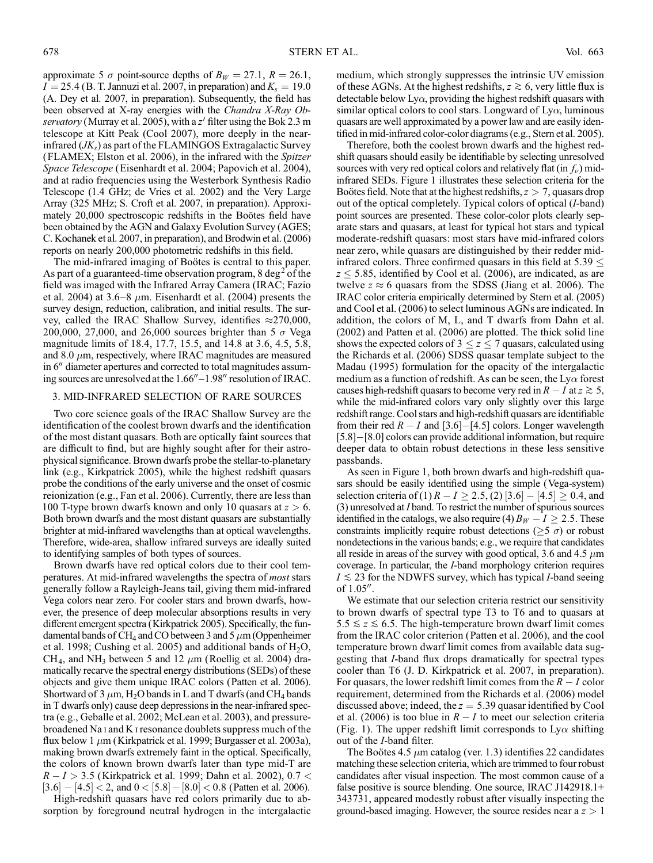approximate 5  $\sigma$  point-source depths of  $B_W = 27.1$ ,  $R = 26.1$ ,  $I = 25.4$  (B. T. Jannuzi et al. 2007, in preparation) and  $K_s = 19.0$ (A. Dey et al. 2007, in preparation). Subsequently, the field has been observed at X-ray energies with the Chandra X-Ray Observatory (Murray et al. 2005), with a  $z'$  filter using the Bok 2.3 m telescope at Kitt Peak (Cool 2007), more deeply in the nearinfrared  $(JK<sub>s</sub>)$  as part of the FLAMINGOS Extragalactic Survey (FLAMEX; Elston et al. 2006), in the infrared with the Spitzer Space Telescope (Eisenhardt et al. 2004; Papovich et al. 2004), and at radio frequencies using the Westerbork Synthesis Radio Telescope (1.4 GHz; de Vries et al. 2002) and the Very Large Array (325 MHz; S. Croft et al. 2007, in preparation). Approximately 20,000 spectroscopic redshifts in the Boötes field have been obtained by the AGN and Galaxy Evolution Survey (AGES; C. Kochanek et al. 2007, in preparation), and Brodwin et al. (2006) reports on nearly 200,000 photometric redshifts in this field.

The mid-infrared imaging of Bootes is central to this paper. As part of a guaranteed-time observation program,  $8 \text{ deg}^2$  of the field was imaged with the Infrared Array Camera (IRAC; Fazio et al. 2004) at 3.6–8  $\mu$ m. Eisenhardt et al. (2004) presents the survey design, reduction, calibration, and initial results. The survey, called the IRAC Shallow Survey, identifies  $\approx$ 270,000, 200,000, 27,000, and 26,000 sources brighter than 5  $\sigma$  Vega magnitude limits of 18.4, 17.7, 15.5, and 14.8 at 3.6, 4.5, 5.8, and 8.0  $\mu$ m, respectively, where IRAC magnitudes are measured in  $6$ <sup> $\prime\prime$ </sup> diameter apertures and corrected to total magnitudes assuming sources are unresolved at the  $1.66'' - 1.98''$  resolution of IRAC.

## 3. MID-INFRARED SELECTION OF RARE SOURCES

Two core science goals of the IRAC Shallow Survey are the identification of the coolest brown dwarfs and the identification of the most distant quasars. Both are optically faint sources that are difficult to find, but are highly sought after for their astrophysical significance. Brown dwarfs probe the stellar-to-planetary link (e.g., Kirkpatrick 2005), while the highest redshift quasars probe the conditions of the early universe and the onset of cosmic reionization (e.g., Fan et al. 2006). Currently, there are less than 100 T-type brown dwarfs known and only 10 quasars at  $z > 6$ . Both brown dwarfs and the most distant quasars are substantially brighter at mid-infrared wavelengths than at optical wavelengths. Therefore, wide-area, shallow infrared surveys are ideally suited to identifying samples of both types of sources.

Brown dwarfs have red optical colors due to their cool temperatures. At mid-infrared wavelengths the spectra of most stars generally follow a Rayleigh-Jeans tail, giving them mid-infrared Vega colors near zero. For cooler stars and brown dwarfs, however, the presence of deep molecular absorptions results in very different emergent spectra (Kirkpatrick 2005). Specifically, the fundamental bands of CH<sub>4</sub> and CO between 3 and 5  $\mu$ m (Oppenheimer et al. 1998; Cushing et al. 2005) and additional bands of  $H_2O$ , CH<sub>4</sub>, and NH<sub>3</sub> between 5 and 12  $\mu$ m (Roellig et al. 2004) dramatically recarve the spectral energy distributions (SEDs) of these objects and give them unique IRAC colors (Patten et al. 2006). Shortward of 3  $\mu$ m, H<sub>2</sub>O bands in L and T dwarfs (and CH<sub>4</sub> bands in T dwarfs only) cause deep depressions in the near-infrared spectra (e.g., Geballe et al. 2002; McLean et al. 2003), and pressurebroadened Na i and K i resonance doublets suppress much of the flux below 1  $\mu$ m (Kirkpatrick et al. 1999; Burgasser et al. 2003a), making brown dwarfs extremely faint in the optical. Specifically, the colors of known brown dwarfs later than type mid-T are  $R - I > 3.5$  (Kirkpatrick et al. 1999; Dahn et al. 2002), 0.7 <  $[3.6] - [4.5] < 2$ , and  $0 < [5.8] - [8.0] < 0.8$  (Patten et al. 2006).

High-redshift quasars have red colors primarily due to absorption by foreground neutral hydrogen in the intergalactic medium, which strongly suppresses the intrinsic UV emission of these AGNs. At the highest redshifts,  $z \ge 6$ , very little flux is detectable below  $Ly\alpha$ , providing the highest redshift quasars with similar optical colors to cool stars. Longward of  $Ly\alpha$ , luminous quasars are well approximated by a power law and are easily identified in mid-infrared color-color diagrams (e.g., Stern et al. 2005).

Therefore, both the coolest brown dwarfs and the highest redshift quasars should easily be identifiable by selecting unresolved sources with very red optical colors and relatively flat (in  $f_{\nu}$ ) midinfrared SEDs. Figure 1 illustrates these selection criteria for the Boötes field. Note that at the highest redshifts,  $z > 7$ , quasars drop out of the optical completely. Typical colors of optical (I-band) point sources are presented. These color-color plots clearly separate stars and quasars, at least for typical hot stars and typical moderate-redshift quasars: most stars have mid-infrared colors near zero, while quasars are distinguished by their redder midinfrared colors. Three confirmed quasars in this field at  $5.39 <$  $z \le 5.85$ , identified by Cool et al. (2006), are indicated, as are twelve  $z \approx 6$  quasars from the SDSS (Jiang et al. 2006). The IRAC color criteria empirically determined by Stern et al. (2005) and Cool et al. (2006) to select luminous AGNs are indicated. In addition, the colors of M, L, and T dwarfs from Dahn et al. (2002) and Patten et al. (2006) are plotted. The thick solid line shows the expected colors of  $3 \le z \le 7$  quasars, calculated using the Richards et al. (2006) SDSS quasar template subject to the Madau (1995) formulation for the opacity of the intergalactic medium as a function of redshift. As can be seen, the  $Ly\alpha$  forest causes high-redshift quasars to become very red in  $R - I$  at  $z \ge 5$ , while the mid-infrared colors vary only slightly over this large redshift range. Cool stars and high-redshift quasars are identifiable from their red  $R - I$  and [3.6]-[4.5] colors. Longer wavelength  $[5.8]$  –  $[8.0]$  colors can provide additional information, but require deeper data to obtain robust detections in these less sensitive passbands.

As seen in Figure 1, both brown dwarfs and high-redshift quasars should be easily identified using the simple (Vega-system) selection criteria of (1)  $R - I \ge 2.5$ , (2)  $[3.6] - [4.5] \ge 0.4$ , and (3) unresolved at I band. To restrict the number of spurious sources identified in the catalogs, we also require (4)  $B_W - I \ge 2.5$ . These constraints implicitly require robust detections ( $\geq$ 5  $\sigma$ ) or robust nondetections in the various bands; e.g., we require that candidates all reside in areas of the survey with good optical, 3.6 and 4.5  $\mu$ m coverage. In particular, the I-band morphology criterion requires  $I \le 23$  for the NDWFS survey, which has typical *I*-band seeing of  $1.05''$ .

We estimate that our selection criteria restrict our sensitivity to brown dwarfs of spectral type T3 to T6 and to quasars at  $5.5 \le z \le 6.5$ . The high-temperature brown dwarf limit comes from the IRAC color criterion (Patten et al. 2006), and the cool temperature brown dwarf limit comes from available data suggesting that I-band flux drops dramatically for spectral types cooler than T6 (J. D. Kirkpatrick et al. 2007, in preparation). For quasars, the lower redshift limit comes from the  $R - I$  color requirement, determined from the Richards et al. (2006) model discussed above; indeed, the  $z = 5.39$  quasar identified by Cool et al. (2006) is too blue in  $R - I$  to meet our selection criteria (Fig. 1). The upper redshift limit corresponds to  $Ly\alpha$  shifting out of the I-band filter.

The Boötes 4.5  $\mu$ m catalog (ver. 1.3) identifies 22 candidates matching these selection criteria, which are trimmed to four robust candidates after visual inspection. The most common cause of a false positive is source blending. One source, IRAC J142918.1+ 343731, appeared modestly robust after visually inspecting the ground-based imaging. However, the source resides near a  $z > 1$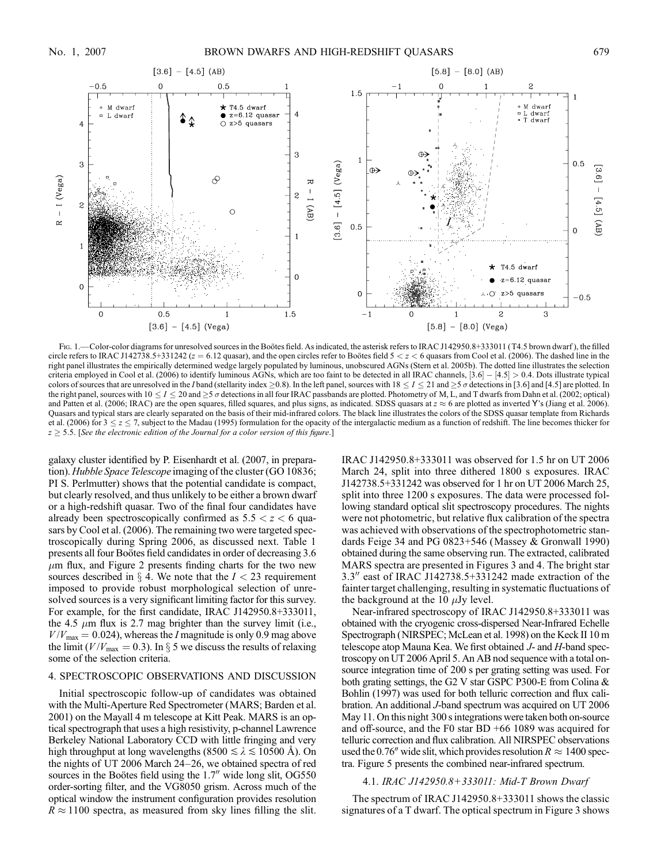

Fig. 1.—Color-color diagrams for unresolved sources in the Boötes field. As indicated, the asterisk refers to IRAC J142950.8+333011 (T4.5 brown dwarf), the filled circle refers to IRAC J142738.5+331242 ( $z = 6.12$  quasar), and the open circles refer to Bootes field  $5 < z < 6$  quasars from Cool et al. (2006). The dashed line in the right panel illustrates the empirically determined wedge largely populated by luminous, unobscured AGNs (Stern et al. 2005b). The dotted line illustrates the selection criteria employed in Cool et al. (2006) to identify luminous AGNs, which are too faint to be detected in all IRAC channels,  $[3.6] - [4.5] > 0.4$ . Dots illustrate typical colors of sources that are unresolved in the I band (stellarity index  $\geq 0.8$ ). In the left panel, sources with  $18 \leq I \leq 21$  and  $\geq 5$   $\sigma$  detections in [3.6] and [4.5] are plotted. In the right panel, sources with  $10 \le I \le 20$  and  $\ge 5$   $\sigma$  detections in all four IRAC passbands are plotted. Photometry of M, L, and T dwarfs from Dahn et al. (2002; optical) and Patten et al. (2006; IRAC) are the open squares, filled squares, and plus signs, as indicated. SDSS quasars at  $z \approx 6$  are plotted as inverted Y's (Jiang et al. 2006). Quasars and typical stars are clearly separated on the basis of their mid-infrared colors. The black line illustrates the colors of the SDSS quasar template from Richards et al. (2006) for  $3 \le z \le 7$ , subject to the Madau (1995) formulation for the opacity of the intergalactic medium as a function of redshift. The line becomes thicker for  $z \geq 5.5$ . [See the electronic edition of the Journal for a color version of this figure.]

galaxy cluster identified by P. Eisenhardt et al. (2007, in preparation). Hubble Space Telescope imaging of the cluster (GO 10836; PI S. Perlmutter) shows that the potential candidate is compact, but clearly resolved, and thus unlikely to be either a brown dwarf or a high-redshift quasar. Two of the final four candidates have already been spectroscopically confirmed as  $5.5 < z < 6$  quasars by Cool et al. (2006). The remaining two were targeted spectroscopically during Spring 2006, as discussed next. Table 1 presents all four Boötes field candidates in order of decreasing 3.6  $\mu$ m flux, and Figure 2 presents finding charts for the two new sources described in  $\S$  4. We note that the  $I < 23$  requirement imposed to provide robust morphological selection of unresolved sources is a very significant limiting factor for this survey. For example, for the first candidate, IRAC J142950.8+333011, the 4.5  $\mu$ m flux is 2.7 mag brighter than the survey limit (i.e.,  $V/V_{\text{max}} = 0.024$ , whereas the *I* magnitude is only 0.9 mag above the limit ( $V/V_{\text{max}} = 0.3$ ). In § 5 we discuss the results of relaxing some of the selection criteria.

# 4. SPECTROSCOPIC OBSERVATIONS AND DISCUSSION

Initial spectroscopic follow-up of candidates was obtained with the Multi-Aperture Red Spectrometer (MARS; Barden et al. 2001) on the Mayall 4 m telescope at Kitt Peak. MARS is an optical spectrograph that uses a high resistivity, p-channel Lawrence Berkeley National Laboratory CCD with little fringing and very high throughput at long wavelengths (8500  $\le \lambda \le 10500$  Å). On the nights of UT 2006 March  $24-26$ , we obtained spectra of red sources in the Boötes field using the  $1.7$ <sup>"</sup> wide long slit, OG550 order-sorting filter, and the VG8050 grism. Across much of the optical window the instrument configuration provides resolution  $R \approx 1100$  spectra, as measured from sky lines filling the slit.

IRAC J142950.8+333011 was observed for 1.5 hr on UT 2006 March 24, split into three dithered 1800 s exposures. IRAC J142738.5+331242 was observed for 1 hr on UT 2006 March 25, split into three 1200 s exposures. The data were processed following standard optical slit spectroscopy procedures. The nights were not photometric, but relative flux calibration of the spectra was achieved with observations of the spectrophotometric standards Feige 34 and PG 0823+546 (Massey & Gronwall 1990) obtained during the same observing run. The extracted, calibrated MARS spectra are presented in Figures 3 and 4. The bright star  $3.3''$  east of IRAC J142738.5+331242 made extraction of the fainter target challenging, resulting in systematic fluctuations of the background at the 10  $\mu$ Jy level.

Near-infrared spectroscopy of IRAC J142950.8+333011 was obtained with the cryogenic cross-dispersed Near-Infrared Echelle Spectrograph (NIRSPEC; McLean et al. 1998) on the Keck II 10 m telescope atop Mauna Kea. We first obtained J- and H-band spectroscopy on UT 2006 April 5. An AB nod sequence with a total onsource integration time of 200 s per grating setting was used. For both grating settings, the G2 V star GSPC P300-E from Colina & Bohlin (1997) was used for both telluric correction and flux calibration. An additional J-band spectrum was acquired on UT 2006 May 11. On this night 300 s integrations were taken both on-source and off-source, and the F0 star BD +66 1089 was acquired for telluric correction and flux calibration. All NIRSPEC observations used the 0.76" wide slit, which provides resolution  $R \approx 1400$  spectra. Figure 5 presents the combined near-infrared spectrum.

### 4.1. IRAC J142950.8+333011: Mid-T Brown Dwarf

The spectrum of IRAC J142950.8+333011 shows the classic signatures of a T dwarf. The optical spectrum in Figure 3 shows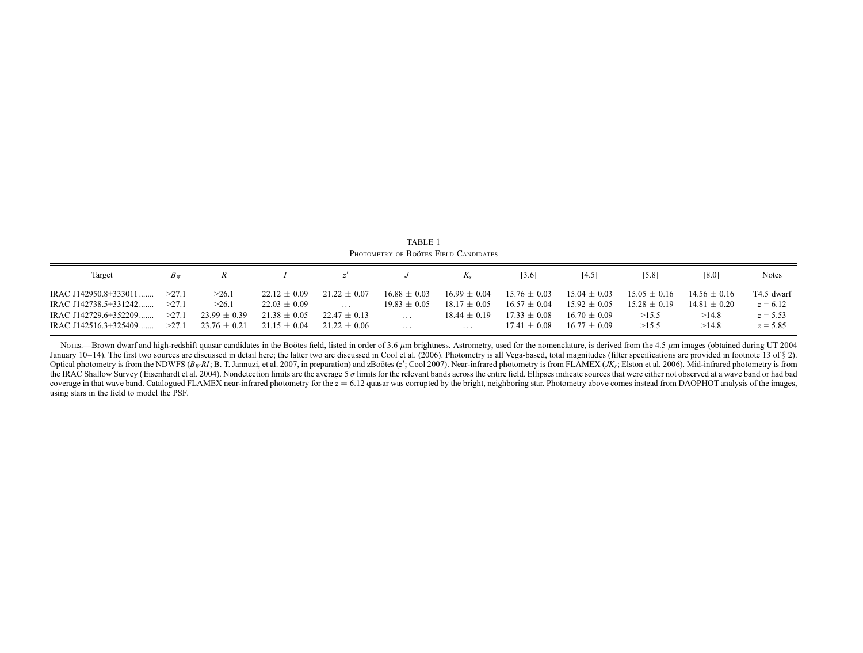| Target                | $B_W$ |                  |                  |                  |                  | $K_{s}$          | 3.6              | [4.5]            | [5.8]          | [8.0]          | <b>Notes</b> |
|-----------------------|-------|------------------|------------------|------------------|------------------|------------------|------------------|------------------|----------------|----------------|--------------|
| IRAC J142950.8+333011 | >27.1 | >26.1            | $22.12 + 0.09$   | $21.22 + 0.07$   | $16.88 + 0.03$   | $16.99 + 0.04$   | $15.76 \pm 0.03$ | $15.04 + 0.03$   | $15.05 + 0.16$ | $14.56 + 0.16$ | T4.5 dwarf   |
| IRAC J142738.5+331242 | >27.1 | >26.1            | $22.03 \pm 0.09$ | $\cdots$         | $19.83 \pm 0.05$ | $18.17 \pm 0.05$ | $16.57 \pm 0.04$ | $15.92 \pm 0.05$ | $15.28 + 0.19$ | $14.81 + 0.20$ | $z = 6.12$   |
| IRAC J142729.6+352209 | >27.1 | $23.99 + 0.39$   | $21.38 + 0.05$   | $22.47 + 0.13$   | $\cdot$          | $18.44 + 0.19$   | $17.33 + 0.08$   | $16.70 + 0.09$   | >15.5          | >14.8          | $z = 5.53$   |
| IRAC J142516.3+325409 | >27.1 | $23.76 \pm 0.21$ | $21.15 \pm 0.04$ | $21.22 \pm 0.06$ | $\cdots$         | .                | $17.41 + 0.08$   | $16.77 \pm 0.09$ | >15.5          | >14.8          | $z = 5.85$   |

TABLE 1 Photometry of Boötes Field Candidates

Nores.—Brown dwarf and high-redshift quasar candidates in the Boötes field, listed in order of 3.6  $\mu$ m brightness. Astrometry, used for the nomenclature, is derived from the 4.5  $\mu$ m images (obtained during UT 2004 January 10-14). The first two sources are discussed in detail here; the latter two are discussed in Cool et al. (2006). Photometry is all Vega-based, total magnitudes (filter specifications are provided in footnote 13 of § Optical photometry is from the NDWFS (B<sub>W</sub>RI; B. T. Jannuzi, et al. 2007, in preparation) and zBoötes (z'; Cool 2007). Near-infrared photometry is from FLAMEX (JK<sub>s</sub>; Elston et al. 2006). Mid-infrared photometry is from the IRAC Shallow Survey (Eisenhardt et al. 2004). Nondetection limits are the average 5  $\sigma$  limits for the relevant bands across the entire field. Ellipses indicate sources that were either not observed at a wave band or coverage in that wave band. Catalogued FLAMEX near-infrared photometry for the  $z = 6.12$  quasar was corrupted by the bright, neighboring star. Photometry above comes instead from DAOPHOT analysis of the images, using stars in the field to model the PSF.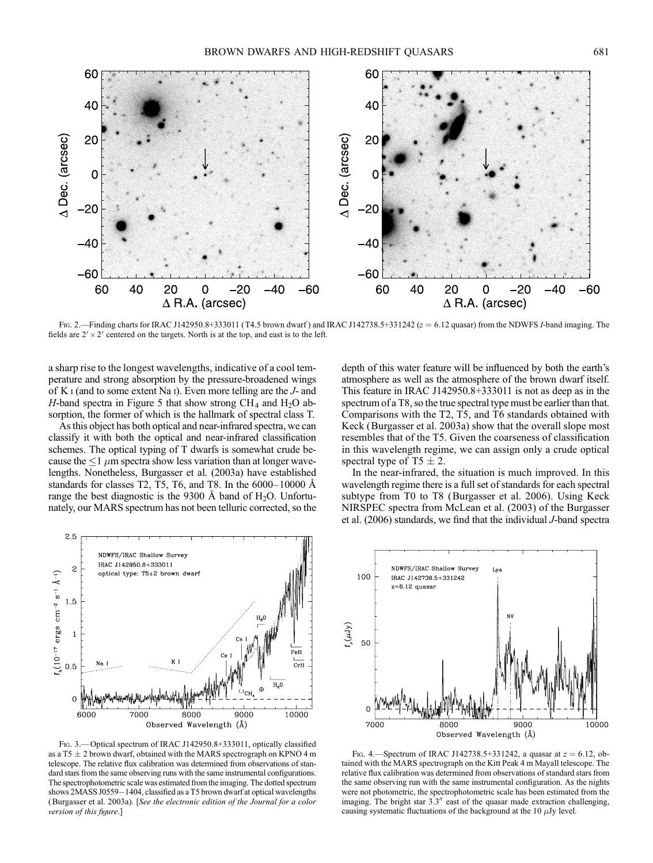

Fig. 2.—Finding charts for IRAC J142950.8+333011 (T4.5 brown dwarf) and IRAC J142738.5+331242 ( $z = 6.12$  quasar) from the NDWFS I-band imaging. The fields are  $2' \times 2'$  centered on the targets. North is at the top, and east is to the left.

a sharp rise to the longest wavelengths, indicative of a cool temperature and strong absorption by the pressure-broadened wings of K i (and to some extent Na i). Even more telling are the J- and H-band spectra in Figure 5 that show strong  $CH_4$  and  $H_2O$  absorption, the former of which is the hallmark of spectral class T.

As this object has both optical and near-infrared spectra, we can classify it with both the optical and near-infrared classification schemes. The optical typing of T dwarfs is somewhat crude because the  $\leq 1$   $\mu$ m spectra show less variation than at longer wavelengths. Nonetheless, Burgasser et al. (2003a) have established standards for classes T2, T5, T6, and T8. In the  $6000-10000$  Å range the best diagnostic is the 9300 Å band of  $H_2O$ . Unfortunately, our MARS spectrum has not been telluric corrected, so the



Fig. 3.—Optical spectrum of IRAC J142950.8+333011, optically classified as a T5  $\pm$  2 brown dwarf, obtained with the MARS spectrograph on KPNO 4 m telescope. The relative flux calibration was determined from observations of standard stars from the same observing runs with the same instrumental configurations. The spectrophotometric scale was estimated from the imaging. The dotted spectrum shows  $2MASS\,J0559-1404$ , classified as a T5 brown dwarf at optical wavelengths ( Burgasser et al. 2003a). [See the electronic edition of the Journal for a color version of this figure.

depth of this water feature will be influenced by both the earth's atmosphere as well as the atmosphere of the brown dwarf itself. This feature in IRAC J142950.8+333011 is not as deep as in the spectrum of a T8, so the true spectral type must be earlier than that. Comparisons with the T2, T5, and T6 standards obtained with Keck (Burgasser et al. 2003a) show that the overall slope most resembles that of the T5. Given the coarseness of classification in this wavelength regime, we can assign only a crude optical spectral type of T5  $\pm$  2.

In the near-infrared, the situation is much improved. In this wavelength regime there is a full set of standards for each spectral subtype from T0 to T8 (Burgasser et al. 2006). Using Keck NIRSPEC spectra from McLean et al. (2003) of the Burgasser et al. (2006) standards, we find that the individual J-band spectra



FIG. 4.—Spectrum of IRAC J142738.5+331242, a quasar at  $z = 6.12$ , obtained with the MARS spectrograph on the Kitt Peak 4 m Mayall telescope. The relative flux calibration was determined from observations of standard stars from the same observing run with the same instrumental configuration. As the nights were not photometric, the spectrophotometric scale has been estimated from the imaging. The bright star  $3.3$ " east of the quasar made extraction challenging, causing systematic fluctuations of the background at the 10  $\mu$ Jy level.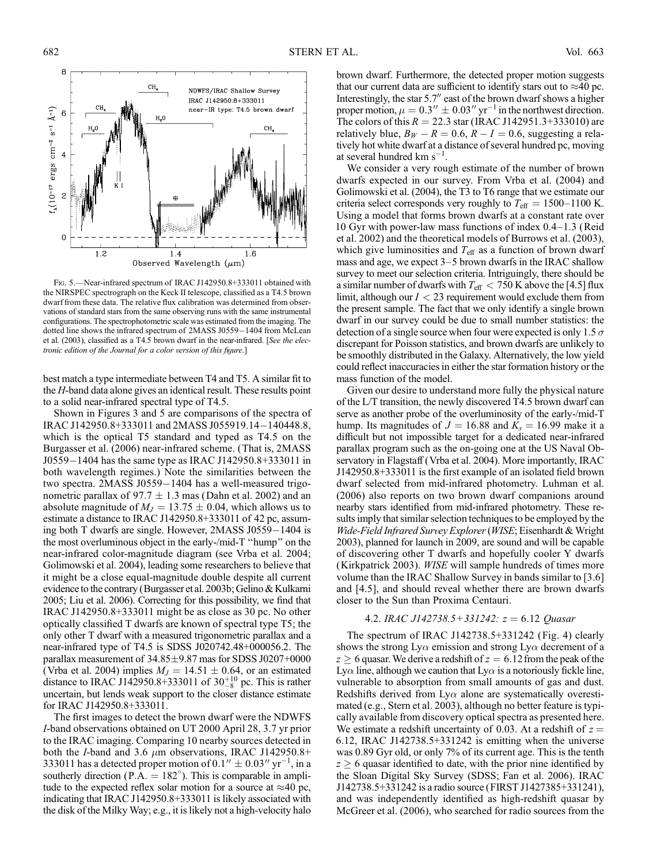

FIG. 5. - Near-infrared spectrum of IRAC J142950.8+333011 obtained with the NIRSPEC spectrograph on the Keck II telescope, classified as a T4.5 brown dwarf from these data. The relative flux calibration was determined from observations of standard stars from the same observing runs with the same instrumental configurations. The spectrophotometric scale was estimated from the imaging. The dotted line shows the infrared spectrum of 2MASS J0559-1404 from McLean et al. (2003), classified as a T4.5 brown dwarf in the near-infrared. [See the electronic edition of the Journal for a color version of this figure.]

best match a type intermediate between T4 and T5. A similar fit to the H-band data alone gives an identical result. These results point to a solid near-infrared spectral type of T4.5.

Shown in Figures 3 and 5 are comparisons of the spectra of IRAC J142950.8+333011 and 2MASS J055919.14-140448.8, which is the optical T5 standard and typed as T4.5 on the Burgasser et al. (2006) near-infrared scheme. (That is, 2MASS J0559-1404 has the same type as IRAC J142950.8+333011 in both wavelength regimes.) Note the similarities between the two spectra. 2MASS J0559-1404 has a well-measured trigonometric parallax of 97.7  $\pm$  1.3 mas (Dahn et al. 2002) and an absolute magnitude of  $M_J = 13.75 \pm 0.04$ , which allows us to estimate a distance to IRAC J142950.8+333011 of 42 pc, assuming both T dwarfs are single. However, 2MASS J0559-1404 is the most overluminous object in the early-/mid-T ''hump'' on the near-infrared color-magnitude diagram (see Vrba et al. 2004; Golimowski et al. 2004), leading some researchers to believe that it might be a close equal-magnitude double despite all current evidence to the contrary (Burgasser et al. 2003b; Gelino & Kulkarni 2005; Liu et al. 2006). Correcting for this possibility, we find that IRAC J142950.8+333011 might be as close as 30 pc. No other optically classified T dwarfs are known of spectral type T5; the only other T dwarf with a measured trigonometric parallax and a near-infrared type of T4.5 is SDSS J020742.48+000056.2. The parallax measurement of  $34.85\pm9.87$  mas for SDSS J0207+0000 (Vrba et al. 2004) implies  $M_J = 14.51 \pm 0.64$ , or an estimated distance to IRAC J142950.8+333011 of  $30^{+10}_{-8}$  pc. This is rather uncertain, but lends weak support to the closer distance estimate for IRAC J142950.8+333011.

The first images to detect the brown dwarf were the NDWFS I-band observations obtained on UT 2000 April 28, 3.7 yr prior to the IRAC imaging. Comparing 10 nearby sources detected in both the *I*-band and 3.6  $\mu$ m observations, IRAC J142950.8+ 333011 has a detected proper motion of 0.1"  $\pm$  0.03" yr<sup>-1</sup>, in a southerly direction ( $\overrightarrow{P.A.} = 182^{\circ}$ ). This is comparable in amplitude to the expected reflex solar motion for a source at  $\approx$ 40 pc, indicating that IRAC J142950.8+333011 is likely associated with the disk of the Milky Way; e.g., it is likely not a high-velocity halo

brown dwarf. Furthermore, the detected proper motion suggests that our current data are sufficient to identify stars out to  $\approx$ 40 pc. Interestingly, the star 5.7" east of the brown dwarf shows a higher proper motion,  $\mu = 0.3'' \pm 0.03''$  yr<sup>-1</sup> in the northwest direction. The colors of this  $R = 22.3$  star (IRAC J142951.3+333010) are relatively blue,  $B_W - R = 0.6$ ,  $R - I = 0.6$ , suggesting a relatively hot white dwarf at a distance of several hundred pc, moving at several hundred  $km s^{-1}$ .

We consider a very rough estimate of the number of brown dwarfs expected in our survey. From Vrba et al. (2004) and Golimowski et al. (2004), the T3 to T6 range that we estimate our criteria select corresponds very roughly to  $T_{\text{eff}} = 1500-1100$  K. Using a model that forms brown dwarfs at a constant rate over 10 Gyr with power-law mass functions of index  $0.4-1.3$  (Reid et al. 2002) and the theoretical models of Burrows et al. (2003), which give luminosities and  $T_{\text{eff}}$  as a function of brown dwarf mass and age, we expect  $3-5$  brown dwarfs in the IRAC shallow survey to meet our selection criteria. Intriguingly, there should be a similar number of dwarfs with  $T_{\text{eff}} < 750$  K above the [4.5] flux limit, although our  $I < 23$  requirement would exclude them from the present sample. The fact that we only identify a single brown dwarf in our survey could be due to small number statistics: the detection of a single source when four were expected is only 1.5  $\sigma$ discrepant for Poisson statistics, and brown dwarfs are unlikely to be smoothly distributed in the Galaxy. Alternatively, the low yield could reflect inaccuracies in either the star formation history or the mass function of the model.

Given our desire to understand more fully the physical nature of the L/T transition, the newly discovered T4.5 brown dwarf can serve as another probe of the overluminosity of the early-/mid-T hump. Its magnitudes of  $J = 16.88$  and  $K_s = 16.99$  make it a difficult but not impossible target for a dedicated near-infrared parallax program such as the on-going one at the US Naval Observatory in Flagstaff (Vrba et al. 2004). More importantly, IRAC J142950.8+333011 is the first example of an isolated field brown dwarf selected from mid-infrared photometry. Luhman et al. (2006) also reports on two brown dwarf companions around nearby stars identified from mid-infrared photometry. These results imply that similar selection techniques to be employed by the Wide-Field Infrared Survey Explorer (WISE; Eisenhardt & Wright 2003), planned for launch in 2009, are sound and will be capable of discovering other T dwarfs and hopefully cooler Y dwarfs (Kirkpatrick 2003). WISE will sample hundreds of times more volume than the IRAC Shallow Survey in bands similar to [3.6] and [4.5], and should reveal whether there are brown dwarfs closer to the Sun than Proxima Centauri.

### 4.2. IRAC J142738.5+331242:  $z = 6.12$  Quasar

The spectrum of IRAC J142738.5+331242 (Fig. 4) clearly shows the strong  $Ly\alpha$  emission and strong  $Ly\alpha$  decrement of a  $z \geq 6$  quasar. We derive a redshift of  $z = 6.12$  from the peak of the Ly $\alpha$  line, although we caution that Ly $\alpha$  is a notoriously fickle line, vulnerable to absorption from small amounts of gas and dust. Redshifts derived from  $Ly\alpha$  alone are systematically overestimated (e.g., Stern et al. 2003), although no better feature is typically available from discovery optical spectra as presented here. We estimate a redshift uncertainty of 0.03. At a redshift of  $z =$ 6:12, IRAC J142738.5+331242 is emitting when the universe was 0.89 Gyr old, or only 7% of its current age. This is the tenth  $z \geq 6$  quasar identified to date, with the prior nine identified by the Sloan Digital Sky Survey (SDSS; Fan et al. 2006). IRAC J142738.5+331242 is a radio source (FIRST J1427385+331241), and was independently identified as high-redshift quasar by McGreer et al. (2006), who searched for radio sources from the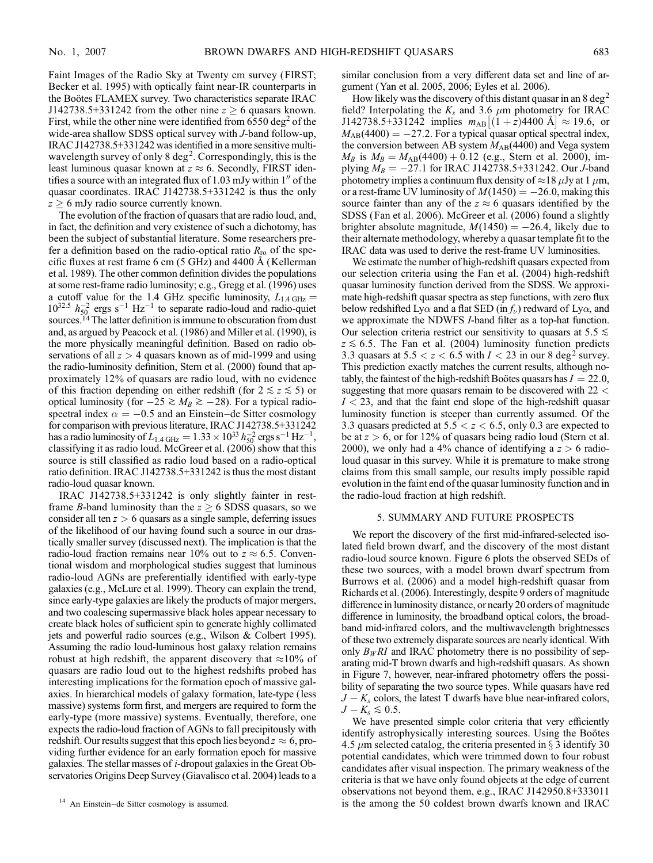Faint Images of the Radio Sky at Twenty cm survey (FIRST; Becker et al. 1995) with optically faint near-IR counterparts in the Boötes FLAMEX survey. Two characteristics separate IRAC J142738.5+331242 from the other nine  $z \ge 6$  quasars known. First, while the other nine were identified from  $6550 \text{ deg}^2$  of the wide-area shallow SDSS optical survey with J-band follow-up, IRAC J142738.5+331242 was identified in a more sensitive multiwavelength survey of only  $8 \text{ deg}^2$ . Correspondingly, this is the least luminous quasar known at  $z \approx 6$ . Secondly, FIRST identifies a source with an integrated flux of  $1.03$  mJy within  $1<sup>0</sup>$  of the quasar coordinates. IRAC J142738.5+331242 is thus the only  $z \geq 6$  mJy radio source currently known.

The evolution of the fraction of quasars that are radio loud, and, in fact, the definition and very existence of such a dichotomy, has been the subject of substantial literature. Some researchers prefer a definition based on the radio-optical ratio  $R_{\rm ro}$  of the specific fluxes at rest frame 6 cm  $(5 \text{ GHz})$  and 4400 Å (Kellerman et al. 1989). The other common definition divides the populations at some rest-frame radio luminosity; e.g., Gregg et al. (1996) uses a cutoff value for the 1.4 GHz specific luminosity,  $L_{1.4 \text{ GHz}} =$  $10^{32.5}$   $h_{50}^{-2}$  ergs s<sup>-1</sup> Hz<sup>-1</sup> to separate radio-loud and radio-quiet sources.<sup>14</sup> The latter definition is immune to obscuration from dust and, as argued by Peacock et al. (1986) and Miller et al. (1990), is the more physically meaningful definition. Based on radio observations of all  $z > 4$  quasars known as of mid-1999 and using the radio-luminosity definition, Stern et al. (2000) found that approximately 12% of quasars are radio loud, with no evidence of this fraction depending on either redshift (for  $2 \le z \le 5$ ) or optical luminosity (for  $-25 \ge M_B \ge -28$ ). For a typical radiospectral index  $\alpha = -0.5$  and an Einstein-de Sitter cosmology for comparison with previous literature, IRAC J142738.5+331242 has a radio luminosity of  $L_{1.4\,\text{GHz}} = 1.33 \times 10^{33}\,h_{50}^{-2}\,\text{ergs}\,\text{s}^{-1}\,\text{Hz}^{-1}$ , classifying it as radio loud. McGreer et al. (2006) show that this source is still classified as radio loud based on a radio-optical ratio definition. IRAC J142738.5+331242 is thus the most distant radio-loud quasar known.

IRAC J142738.5+331242 is only slightly fainter in restframe *B*-band luminosity than the  $z \geq 6$  SDSS quasars, so we consider all ten  $z > 6$  quasars as a single sample, deferring issues of the likelihood of our having found such a source in our drastically smaller survey (discussed next). The implication is that the radio-loud fraction remains near 10% out to  $z \approx 6.5$ . Conventional wisdom and morphological studies suggest that luminous radio-loud AGNs are preferentially identified with early-type galaxies (e.g., McLure et al. 1999). Theory can explain the trend, since early-type galaxies are likely the products of major mergers, and two coalescing supermassive black holes appear necessary to create black holes of sufficient spin to generate highly collimated jets and powerful radio sources (e.g., Wilson & Colbert 1995). Assuming the radio loud-luminous host galaxy relation remains robust at high redshift, the apparent discovery that  $\approx$ 10% of quasars are radio loud out to the highest redshifts probed has interesting implications for the formation epoch of massive galaxies. In hierarchical models of galaxy formation, late-type (less massive) systems form first, and mergers are required to form the early-type (more massive) systems. Eventually, therefore, one expects the radio-loud fraction of AGNs to fall precipitously with redshift. Our results suggest that this epoch lies beyond  $z\approx 6,$  providing further evidence for an early formation epoch for massive galaxies. The stellar masses of i-dropout galaxies in the Great Observatories Origins Deep Survey (Giavalisco et al. 2004) leads to a similar conclusion from a very different data set and line of argument (Yan et al. 2005, 2006; Eyles et al. 2006).

How likely was the discovery of this distant quasar in an 8 deg<sup>2</sup> field? Interpolating the  $K_s$  and 3.6  $\mu$ m photometry for IRAC  $J142738.5+331242$  implies  $m_{AB}[(1+z)4400 \text{ Å}] \approx 19.6$ , or  $M_{AB}(4400) = -27.2$ . For a typical quasar optical spectral index, the conversion between AB system  $M_{AB}(4400)$  and Vega system  $M_B$  is  $M_B = M_{AB}(4400) + 0.12$  (e.g., Stern et al. 2000), implying  $M_B = -27.1$  for IRAC J142738.5+331242. Our *J*-band photometry implies a continuum flux density of  $\approx$  18  $\mu$ Jy at 1  $\mu$ m, or a rest-frame UV luminosity of  $M(1450) = -26.0$ , making this source fainter than any of the  $z \approx 6$  quasars identified by the SDSS (Fan et al. 2006). McGreer et al. (2006) found a slightly brighter absolute magnitude,  $M(1450) = -26.4$ , likely due to their alternate methodology, whereby a quasar template fit to the IRAC data was used to derive the rest-frame UV luminosities.

We estimate the number of high-redshift quasars expected from our selection criteria using the Fan et al. (2004) high-redshift quasar luminosity function derived from the SDSS. We approximate high-redshift quasar spectra as step functions, with zero flux below redshifted Ly $\alpha$  and a flat SED (in  $f_{\nu}$ ) redward of Ly $\alpha$ , and we approximate the NDWFS *I*-band filter as a top-hat function. Our selection criteria restrict our sensitivity to quasars at  $5.5 \leq$  $z \lesssim 6.5$ . The Fan et al. (2004) luminosity function predicts 3.3 quasars at  $5.5 < z < 6.5$  with  $I < 23$  in our 8 deg<sup>2</sup> survey. This prediction exactly matches the current results, although notably, the faintest of the high-redshift Bootes quasars has  $I = 22.0$ , suggesting that more quasars remain to be discovered with  $22 <$  $I < 23$ , and that the faint end slope of the high-redshift quasar luminosity function is steeper than currently assumed. Of the 3.3 quasars predicted at  $5.5 < z < 6.5$ , only 0.3 are expected to be at  $z > 6$ , or for 12% of quasars being radio loud (Stern et al. 2000), we only had a 4% chance of identifying a  $z > 6$  radioloud quasar in this survey. While it is premature to make strong claims from this small sample, our results imply possible rapid evolution in the faint end of the quasar luminosity function and in the radio-loud fraction at high redshift.

### 5. SUMMARY AND FUTURE PROSPECTS

We report the discovery of the first mid-infrared-selected isolated field brown dwarf, and the discovery of the most distant radio-loud source known. Figure 6 plots the observed SEDs of these two sources, with a model brown dwarf spectrum from Burrows et al. (2006) and a model high-redshift quasar from Richards et al. (2006). Interestingly, despite 9 orders of magnitude difference in luminosity distance, or nearly 20 orders of magnitude difference in luminosity, the broadband optical colors, the broadband mid-infrared colors, and the multiwavelength brightnesses of these two extremely disparate sources are nearly identical. With only  $B_WRI$  and IRAC photometry there is no possibility of separating mid-T brown dwarfs and high-redshift quasars. As shown in Figure 7, however, near-infrared photometry offers the possibility of separating the two source types. While quasars have red  $J - K<sub>s</sub>$  colors, the latest T dwarfs have blue near-infrared colors,  $J - K_s \lesssim 0.5$ .

We have presented simple color criteria that very efficiently identify astrophysically interesting sources. Using the Boötes 4.5  $\mu$ m selected catalog, the criteria presented in § 3 identify 30 potential candidates, which were trimmed down to four robust candidates after visual inspection. The primary weakness of the criteria is that we have only found objects at the edge of current observations not beyond them, e.g., IRAC J142950.8+333011 <sup>14</sup> An Einstein-de Sitter cosmology is assumed. <br> **is the among the 50 coldest brown dwarfs known and IRAC**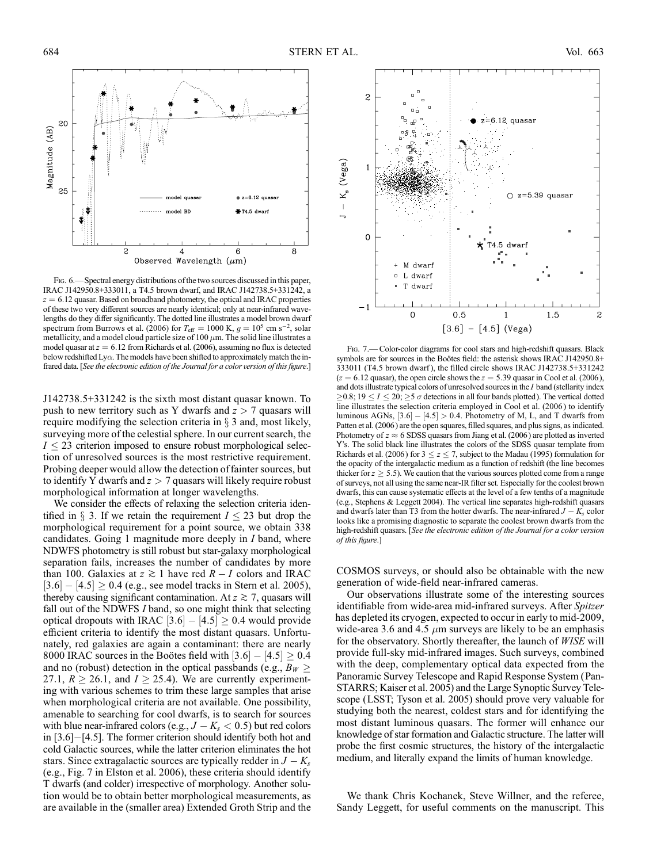

Fig. 6.—Spectral energy distributions of the two sources discussed in this paper, IRAC J142950.8+333011, a T4.5 brown dwarf, and IRAC J142738.5+331242, a  $z = 6.12$  quasar. Based on broadband photometry, the optical and IRAC properties of these two very different sources are nearly identical; only at near-infrared wavelengths do they differ significantly. The dotted line illustrates a model brown dwarf spectrum from Burrows et al. (2006) for  $T_{\text{eff}} = 1000 \text{ K}$ ,  $g = 10^5 \text{ cm s}^{-2}$ , solar metallicity, and a model cloud particle size of 100  $\mu$ m. The solid line illustrates a model quasar at  $z = 6.12$  from Richards et al. (2006), assuming no flux is detected below redshifted  $Ly\alpha$ . The models have been shifted to approximately match the infrared data. [See the electronic edition of the Journal for a color version of this figure.]

J142738.5+331242 is the sixth most distant quasar known. To push to new territory such as Y dwarfs and  $z > 7$  quasars will require modifying the selection criteria in  $\S$  3 and, most likely, surveying more of the celestial sphere. In our current search, the  $I < 23$  criterion imposed to ensure robust morphological selection of unresolved sources is the most restrictive requirement. Probing deeper would allow the detection of fainter sources, but to identify Y dwarfs and  $z > 7$  quasars will likely require robust morphological information at longer wavelengths.

We consider the effects of relaxing the selection criteria identified in  $\S$  3. If we retain the requirement  $I \le 23$  but drop the morphological requirement for a point source, we obtain 338 candidates. Going 1 magnitude more deeply in I band, where NDWFS photometry is still robust but star-galaxy morphological separation fails, increases the number of candidates by more than 100. Galaxies at  $z \ge 1$  have red  $R - I$  colors and IRAC  $|3.6| - |4.5| \ge 0.4$  (e.g., see model tracks in Stern et al. 2005), thereby causing significant contamination. At  $z \gtrsim 7$ , quasars will fall out of the NDWFS I band, so one might think that selecting optical dropouts with IRAC  $[3.6] - [4.5] \ge 0.4$  would provide efficient criteria to identify the most distant quasars. Unfortunately, red galaxies are again a contaminant: there are nearly 8000 IRAC sources in the Bootes field with  $|3.6| - |4.5| \ge 0.4$ and no (robust) detection in the optical passbands (e.g.,  $B_W \geq$ 27.1,  $R \ge 26.1$ , and  $I \ge 25.4$ ). We are currently experimenting with various schemes to trim these large samples that arise when morphological criteria are not available. One possibility, amenable to searching for cool dwarfs, is to search for sources with blue near-infrared colors (e.g.,  $J - K_s < 0.5$ ) but red colors in  $[3.6]$ - $[4.5]$ . The former criterion should identify both hot and cold Galactic sources, while the latter criterion eliminates the hot stars. Since extragalactic sources are typically redder in  $J - K_s$ (e.g., Fig. 7 in Elston et al. 2006), these criteria should identify T dwarfs (and colder) irrespective of morphology. Another solution would be to obtain better morphological measurements, as are available in the (smaller area) Extended Groth Strip and the



Fig. 7.— Color-color diagrams for cool stars and high-redshift quasars. Black symbols are for sources in the Boötes field: the asterisk shows IRAC J142950.8+ 333011 (T4.5 brown dwarf ), the filled circle shows IRAC J142738.5+331242  $(z = 6.12$  quasar), the open circle shows the  $z = 5.39$  quasar in Cool et al. (2006), and dots illustrate typical colors of unresolved sources in the I band (stellarity index  $\geq$ 0.8; 19  $\leq$   $I \leq$  20;  $\geq$ 5  $\sigma$  detections in all four bands plotted). The vertical dotted line illustrates the selection criteria employed in Cool et al. (2006 ) to identify luminous AGNs,  $[3.6] - [4.5] > 0.4$ . Photometry of M, L, and T dwarfs from Patten et al. (2006) are the open squares, filled squares, and plus signs, as indicated. Photometry of  $z \approx 6$  SDSS quasars from Jiang et al. (2006) are plotted as inverted Y's. The solid black line illustrates the colors of the SDSS quasar template from Richards et al. (2006) for  $3 \le z \le 7$ , subject to the Madau (1995) formulation for the opacity of the intergalactic medium as a function of redshift (the line becomes thicker for  $z \geq 5.5$ ). We caution that the various sources plotted come from a range of surveys, not all using the same near-IR filter set. Especially for the coolest brown dwarfs, this can cause systematic effects at the level of a few tenths of a magnitude (e.g., Stephens & Leggett 2004). The vertical line separates high-redshift quasars and dwarfs later than T3 from the hotter dwarfs. The near-infrared  $J - K_s$  color looks like a promising diagnostic to separate the coolest brown dwarfs from the high-redshift quasars. [See the electronic edition of the Journal for a color version of this figure.]

COSMOS surveys, or should also be obtainable with the new generation of wide-field near-infrared cameras.

Our observations illustrate some of the interesting sources identifiable from wide-area mid-infrared surveys. After Spitzer has depleted its cryogen, expected to occur in early to mid-2009, wide-area 3.6 and 4.5  $\mu$ m surveys are likely to be an emphasis for the observatory. Shortly thereafter, the launch of WISE will provide full-sky mid-infrared images. Such surveys, combined with the deep, complementary optical data expected from the Panoramic Survey Telescope and Rapid Response System (Pan-STARRS; Kaiser et al. 2005) and the Large Synoptic Survey Telescope (LSST; Tyson et al. 2005) should prove very valuable for studying both the nearest, coldest stars and for identifying the most distant luminous quasars. The former will enhance our knowledge of star formation and Galactic structure. The latter will probe the first cosmic structures, the history of the intergalactic medium, and literally expand the limits of human knowledge.

We thank Chris Kochanek, Steve Willner, and the referee, Sandy Leggett, for useful comments on the manuscript. This